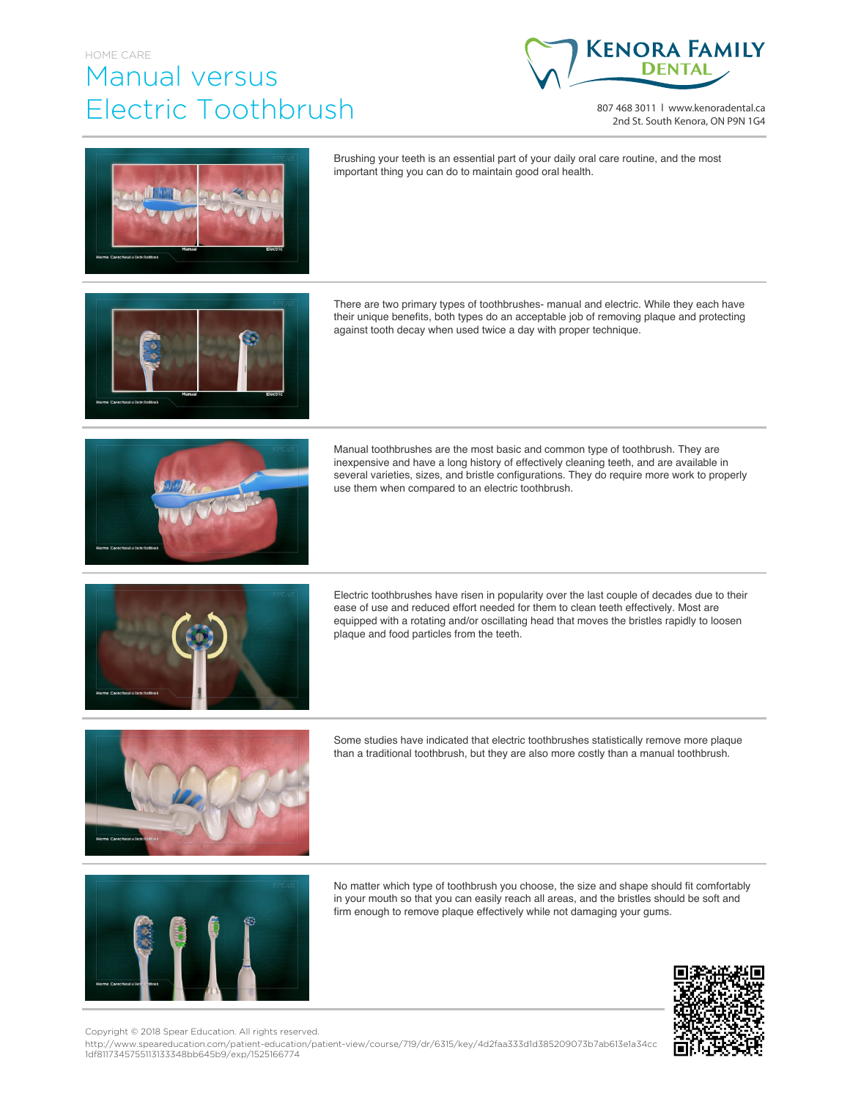## HOME CARE Manual versus Electric Toothbrush



807 468 3011 | www.kenoradental.ca 2nd St. South Kenora, ON P9N 1G4



Brushing your teeth is an essential part of your daily oral care routine, and the most important thing you can do to maintain good oral health.

There are two primary types of toothbrushes- manual and electric. While they each have their unique benefits, both types do an acceptable job of removing plaque and protecting against tooth decay when used twice a day with proper technique.



Manual toothbrushes are the most basic and common type of toothbrush. They are inexpensive and have a long history of effectively cleaning teeth, and are available in several varieties, sizes, and bristle configurations. They do require more work to properly use them when compared to an electric toothbrush.



Electric toothbrushes have risen in popularity over the last couple of decades due to their ease of use and reduced effort needed for them to clean teeth effectively. Most are equipped with a rotating and/or oscillating head that moves the bristles rapidly to loosen plaque and food particles from the teeth.



Some studies have indicated that electric toothbrushes statistically remove more plaque than a traditional toothbrush, but they are also more costly than a manual toothbrush.



No matter which type of toothbrush you choose, the size and shape should fit comfortably in your mouth so that you can easily reach all areas, and the bristles should be soft and firm enough to remove plaque effectively while not damaging your gums.



Copyright © 2018 Spear Education. All rights reserved.

http://www.speareducation.com/patient-education/patient-view/course/719/dr/6315/key/4d2faa333d1d385209073b7ab613e1a34cc 1df8117345755113133348bb645b9/exp/1525166774